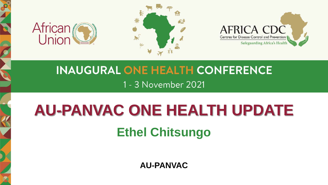





#### **INAUGURAL ONE HEALTH CONFERENCE** 1 - 3 November 2021

# **AU-PANVAC ONE HEALTH UPDATE**

# **Ethel Chitsungo**

**AU-PANVAC**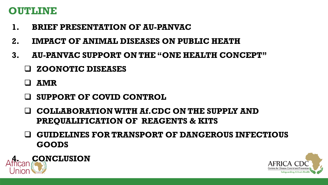#### **OUTLINE**

- **1. BRIEF PRESENTATION OF AU-PANVAC**
- **2. IMPACT OF ANIMAL DISEASES ON PUBLIC HEATH**
- **3. AU-PANVAC SUPPORT ON THE "ONE HEALTH CONCEPT"**
	- **ZOONOTIC DISEASES**
	- **AMR**
	- **SUPPORT OF COVID CONTROL**
	- **COLLABORATION WITH Af.CDC ON THE SUPPLY AND PREQUALIFICATION OF REAGENTS & KITS**
	- **GUIDELINES FOR TRANSPORT OF DANGEROUS INFECTIOUS GOODS**



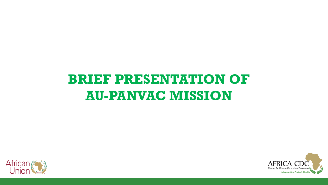# **BRIEF PRESENTATION OF AU-PANVAC MISSION**



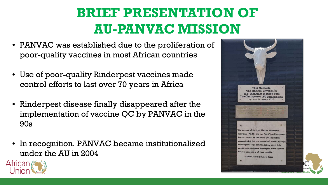# **BRIEF PRESENTATION OF AU-PANVAC MISSION**

- PANVAC was established due to the proliferation of poor-quality vaccines in most African countries
- Use of poor-quality Rinderpest vaccines made control efforts to last over 70 years in Africa
- Rinderpest disease finally disappeared after the implementation of vaccine QC by PANVAC in the 90s
- In recognition, PANVAC became institutionalized under the AU in 2004



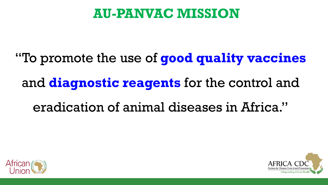## **AU-PANVAC MISSION**

"To promote the use of **good quality vaccines** and **diagnostic reagents** for the control and eradication of animal diseases in Africa."



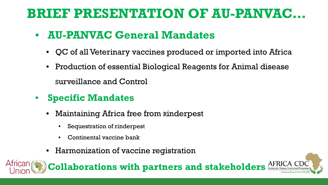## **BRIEF PRESENTATION OF AU-PANVAC…**

#### • **AU-PANVAC General Mandates**

- QC of all Veterinary vaccines produced or imported into Africa
- Production of essential Biological Reagents for Animal disease Surveillance and Control
- **Specific Mandates**
	- Maintaining Africa free from Rinderpest
		- Sequestration of rinderpest
		- Continental vaccine bank
	- Harmonization of vaccine registration

Atrican • **Collaborations with partners and stakeholders**

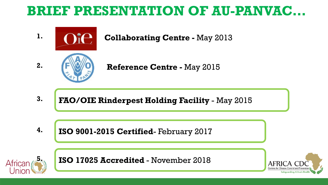## **BRIEF PRESENTATION OF AU-PANVAC…**



**ISO 9001-2015 Certified**- February 2017 **4.**



**ISO 17025 Accredited** - November 2018

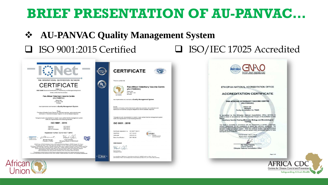## **BRIEF PRESENTATION OF AU-PANVAC…**

#### **AU-PANVAC Quality Management System**

#### $\Box$  ISO 9001:2015 Certified  $\Box$  ISO/IEC 17025 Accredited



| CATE                                                                                                   |  |
|--------------------------------------------------------------------------------------------------------|--|
|                                                                                                        |  |
|                                                                                                        |  |
|                                                                                                        |  |
|                                                                                                        |  |
|                                                                                                        |  |
| frican Veterinary Vaccine Centre<br><b>INVAC)</b>                                                      |  |
|                                                                                                        |  |
| 748                                                                                                    |  |
|                                                                                                        |  |
| Quality Management System.                                                                             |  |
|                                                                                                        |  |
|                                                                                                        |  |
| for veterinary vaccines, and production and                                                            |  |
| agents for animal disease diagnosis                                                                    |  |
|                                                                                                        |  |
|                                                                                                        |  |
| report, it was verified that the management system<br>ring standard:                                   |  |
|                                                                                                        |  |
|                                                                                                        |  |
|                                                                                                        |  |
|                                                                                                        |  |
| 077 QM15<br><b>DAKKS</b><br>$2-22$                                                                     |  |
| Deutsche<br>$2 - 21$<br>Akkreditterungsstelle<br>0-2M 16074 01:00                                      |  |
| 2.22                                                                                                   |  |
|                                                                                                        |  |
|                                                                                                        |  |
|                                                                                                        |  |
|                                                                                                        |  |
|                                                                                                        |  |
|                                                                                                        |  |
| nz-Straße 21, 60433 Frankfurt am Main, Germany<br>Konrad-Adenauer-Allee 5-10, 61115 Bad Vibel, Germany |  |
|                                                                                                        |  |
|                                                                                                        |  |
|                                                                                                        |  |

|          | ETHIOPIAN NATIONAL ACCREDITATION OFFICE                                                                                                                                                                                                                                                                                                                                                                                                                                                                  |  |
|----------|----------------------------------------------------------------------------------------------------------------------------------------------------------------------------------------------------------------------------------------------------------------------------------------------------------------------------------------------------------------------------------------------------------------------------------------------------------------------------------------------------------|--|
|          | <b>ACCREDITATION CERTIFICATE</b>                                                                                                                                                                                                                                                                                                                                                                                                                                                                         |  |
|          |                                                                                                                                                                                                                                                                                                                                                                                                                                                                                                          |  |
|          | PAN AFRICAN VETERINARY VACCINE CENTRE<br>(AU-PANVAC)                                                                                                                                                                                                                                                                                                                                                                                                                                                     |  |
|          | Debre zeit<br>Ethiopia<br>Facility Accreditation No: T0025                                                                                                                                                                                                                                                                                                                                                                                                                                               |  |
| field of | Is accredited by the Ethiopian National Accreditation Office (ENAO) to<br>perform tests in accordance with the attached Scope of Accreditation in the                                                                                                                                                                                                                                                                                                                                                    |  |
|          | Veterinary Vaccine Testing (Molecular Biology and Microbiological<br><b>Testing</b> )                                                                                                                                                                                                                                                                                                                                                                                                                    |  |
|          | The facility is accredited in accordance with the requirements of ISO/IEC 17825-2005,<br>General requirements for the competence of testing and calibration laboratories. The accreditation demonstrates technical competence for a defined scope and the operation of a<br>laboratory quality management system. While this certificate remains valid, the Accredited<br>Facility named above is authorized to use the relevant ENAO accreditation symbol to issue<br>test reports and/or certificates. |  |
|          | Date of issue: 16/11/2018                                                                                                                                                                                                                                                                                                                                                                                                                                                                                |  |
|          | Expiry date: 15/05/2023                                                                                                                                                                                                                                                                                                                                                                                                                                                                                  |  |
|          | Ato Araya Fesseha<br><b>Director General</b><br>Ethiopian National Accreditation Office                                                                                                                                                                                                                                                                                                                                                                                                                  |  |
|          | Page 1 of 3                                                                                                                                                                                                                                                                                                                                                                                                                                                                                              |  |

**Safeguarding Africa's Health**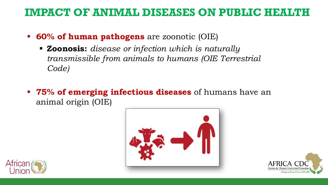#### **IMPACT OF ANIMAL DISEASES ON PUBLIC HEALTH**

- **60% of human pathogens** are zoonotic (OIE)
	- **Zoonosis:** *disease or infection which is naturally transmissible from animals to humans (OIE Terrestrial Code)*
- **75% of emerging infectious diseases** of humans have an animal origin (OIE)





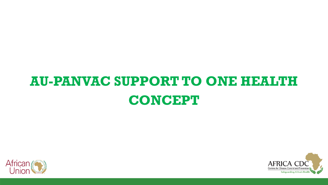# **AU-PANVAC SUPPORT TO ONE HEALTH CONCEPT**



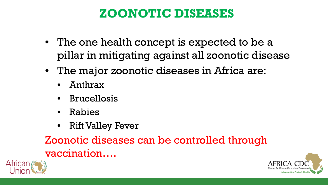#### **ZOONOTIC DISEASES**

- The one health concept is expected to be a pillar in mitigating against all zoonotic disease
- The major zoonotic diseases in Africa are:
	- Anthrax
	- Brucellosis
	- Rabies
	- Rift Valley Fever

Zoonotic diseases can be controlled through vaccination….



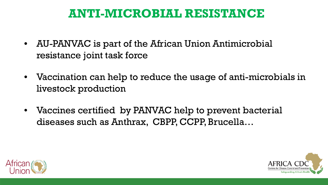#### **ANTI-MICROBIAL RESISTANCE**

- AU-PANVAC is part of the African Union Antimicrobial resistance joint task force
- Vaccination can help to reduce the usage of anti-microbials in livestock production
- Vaccines certified by PANVAC help to prevent bacterial diseases such as Anthrax, CBPP, CCPP, Brucella…



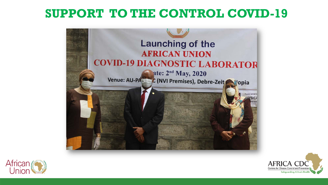



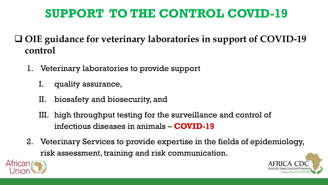- **OIE guidance for veterinary laboratories in support of COVID-19 control**
	- 1. Veterinary laboratories to provide support
		- quality assurance,
		- II. biosafety and biosecurity, and
		- III. high throughput testing for the surveillance and control of infectious diseases in animals – **COVID-19**
	- 2. Veterinary Services to provide expertise in the fields of epidemiology, risk assessment, training and risk communication.



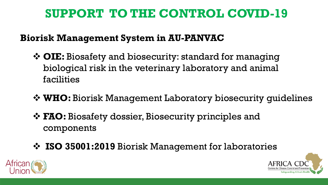#### **Biorisk Management System in AU-PANVAC**

- **OIE:** Biosafety and biosecurity: standard for managing biological risk in the veterinary laboratory and animal facilities
- **☆ WHO:** Biorisk Management Laboratory biosecurity quidelines
- **☆ FAO:** Biosafety dossier, Biosecurity principles and components
- **ISO 35001:2019** Biorisk Management for laboratories



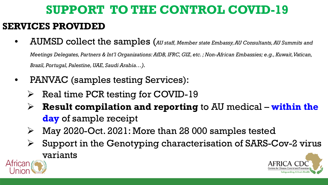# **SUPPORT TO THE CONTROL COVID-19 SERVICES PROVIDED**

• AUMSD collect the samples (*AU staff, Member state Embassy, AU Consultants, AU Summits and* 

*Meetings Delegates, Partners & Int'l Organizations: AfDB, IFRC, GIZ, etc. ; Non-African Embassies; e.g., Kuwait, Vatican, Brazil, Portugal, Palestine, UAE, Saudi Arabia…).*

- PANVAC (samples testing Services):
	- Real time PCR testing for COVID-19
	- **Result compilation and reporting** to AU medical **within the day** of sample receipt
	- May 2020-Oct. 2021: More than 28 000 samples tested
	- $\triangleright$  Support in the Genotyping characterisation of SARS-Cov-2 virus variants



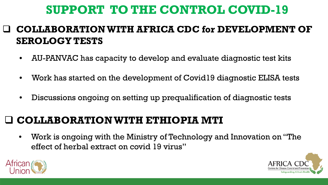#### **COLLABORATION WITH AFRICA CDC for DEVELOPMENT OF SEROLOGY TESTS**

- AU-PANVAC has capacity to develop and evaluate diagnostic test kits
- Work has started on the development of Covid19 diagnostic ELISA tests
- Discussions ongoing on setting up prequalification of diagnostic tests

#### **COLLABORATION WITH ETHIOPIA MTI**

• Work is ongoing with the Ministry of Technology and Innovation on "The effect of herbal extract on covid 19 virus"



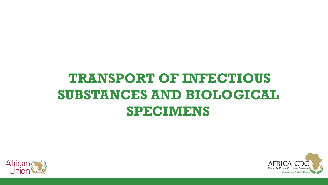# **TRANSPORT OF INFECTIOUS SUBSTANCES AND BIOLOGICAL SPECIMENS**



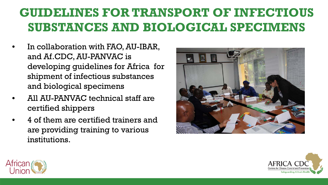## **GUIDELINES FOR TRANSPORT OF INFECTIOUS SUBSTANCES AND BIOLOGICAL SPECIMENS**

- In collaboration with FAO, AU-IBAR, and Af.CDC, AU-PANVAC is developing guidelines for Africa for shipment of infectious substances and biological specimens
- All AU-PANVAC technical staff are certified shippers
- 4 of them are certified trainers and are providing training to various institutions.





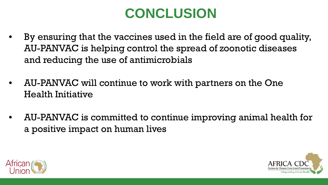# **CONCLUSION**

- By ensuring that the vaccines used in the field are of good quality, AU-PANVAC is helping control the spread of zoonotic diseases and reducing the use of antimicrobials
- AU-PANVAC will continue to work with partners on the One Health Initiative
- AU-PANVAC is committed to continue improving animal health for a positive impact on human lives